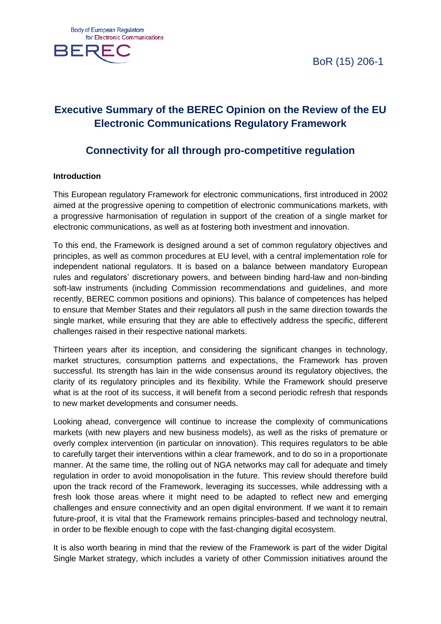BoR (15) 206-1



# **Executive Summary of the BEREC Opinion on the Review of the EU Electronic Communications Regulatory Framework**

# **Connectivity for all through pro-competitive regulation**

#### **Introduction**

This European regulatory Framework for electronic communications, first introduced in 2002 aimed at the progressive opening to competition of electronic communications markets, with a progressive harmonisation of regulation in support of the creation of a single market for electronic communications, as well as at fostering both investment and innovation.

To this end, the Framework is designed around a set of common regulatory objectives and principles, as well as common procedures at EU level, with a central implementation role for independent national regulators. It is based on a balance between mandatory European rules and regulators' discretionary powers, and between binding hard-law and non-binding soft-law instruments (including Commission recommendations and guidelines, and more recently, BEREC common positions and opinions). This balance of competences has helped to ensure that Member States and their regulators all push in the same direction towards the single market, while ensuring that they are able to effectively address the specific, different challenges raised in their respective national markets.

Thirteen years after its inception, and considering the significant changes in technology, market structures, consumption patterns and expectations, the Framework has proven successful. Its strength has lain in the wide consensus around its regulatory objectives, the clarity of its regulatory principles and its flexibility. While the Framework should preserve what is at the root of its success, it will benefit from a second periodic refresh that responds to new market developments and consumer needs.

Looking ahead, convergence will continue to increase the complexity of communications markets (with new players and new business models), as well as the risks of premature or overly complex intervention (in particular on innovation). This requires regulators to be able to carefully target their interventions within a clear framework, and to do so in a proportionate manner. At the same time, the rolling out of NGA networks may call for adequate and timely regulation in order to avoid monopolisation in the future. This review should therefore build upon the track record of the Framework, leveraging its successes, while addressing with a fresh look those areas where it might need to be adapted to reflect new and emerging challenges and ensure connectivity and an open digital environment. If we want it to remain future-proof, it is vital that the Framework remains principles-based and technology neutral, in order to be flexible enough to cope with the fast-changing digital ecosystem.

It is also worth bearing in mind that the review of the Framework is part of the wider Digital Single Market strategy, which includes a variety of other Commission initiatives around the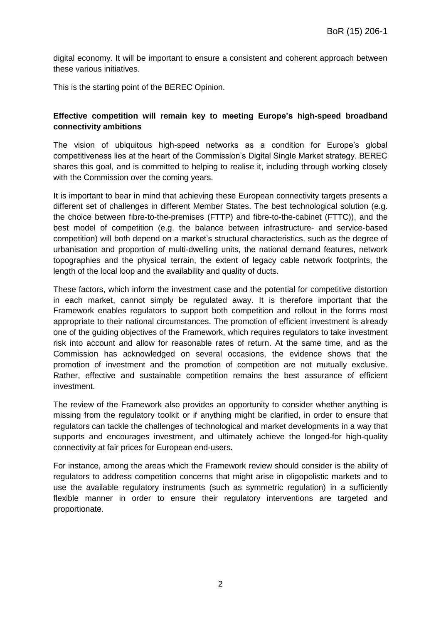digital economy. It will be important to ensure a consistent and coherent approach between these various initiatives.

This is the starting point of the BEREC Opinion.

#### **Effective competition will remain key to meeting Europe's high-speed broadband connectivity ambitions**

The vision of ubiquitous high-speed networks as a condition for Europe's global competitiveness lies at the heart of the Commission's Digital Single Market strategy. BEREC shares this goal, and is committed to helping to realise it, including through working closely with the Commission over the coming years.

It is important to bear in mind that achieving these European connectivity targets presents a different set of challenges in different Member States. The best technological solution (e.g. the choice between fibre-to-the-premises (FTTP) and fibre-to-the-cabinet (FTTC)), and the best model of competition (e.g. the balance between infrastructure- and service-based competition) will both depend on a market's structural characteristics, such as the degree of urbanisation and proportion of multi-dwelling units, the national demand features, network topographies and the physical terrain, the extent of legacy cable network footprints, the length of the local loop and the availability and quality of ducts.

These factors, which inform the investment case and the potential for competitive distortion in each market, cannot simply be regulated away. It is therefore important that the Framework enables regulators to support both competition and rollout in the forms most appropriate to their national circumstances. The promotion of efficient investment is already one of the guiding objectives of the Framework, which requires regulators to take investment risk into account and allow for reasonable rates of return. At the same time, and as the Commission has acknowledged on several occasions, the evidence shows that the promotion of investment and the promotion of competition are not mutually exclusive. Rather, effective and sustainable competition remains the best assurance of efficient investment.

The review of the Framework also provides an opportunity to consider whether anything is missing from the regulatory toolkit or if anything might be clarified, in order to ensure that regulators can tackle the challenges of technological and market developments in a way that supports and encourages investment, and ultimately achieve the longed-for high-quality connectivity at fair prices for European end-users.

For instance, among the areas which the Framework review should consider is the ability of regulators to address competition concerns that might arise in oligopolistic markets and to use the available regulatory instruments (such as symmetric regulation) in a sufficiently flexible manner in order to ensure their regulatory interventions are targeted and proportionate.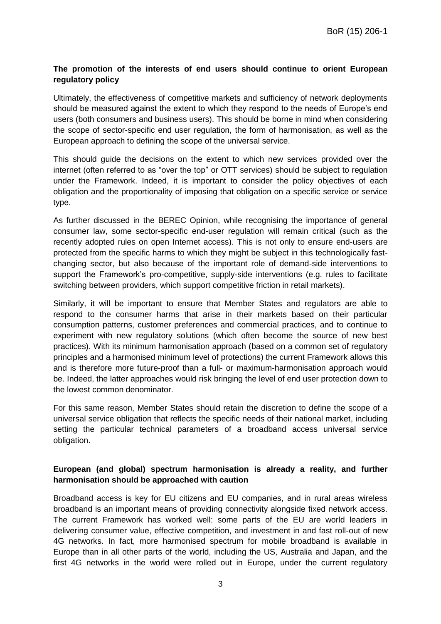# **The promotion of the interests of end users should continue to orient European regulatory policy**

Ultimately, the effectiveness of competitive markets and sufficiency of network deployments should be measured against the extent to which they respond to the needs of Europe's end users (both consumers and business users). This should be borne in mind when considering the scope of sector-specific end user regulation, the form of harmonisation, as well as the European approach to defining the scope of the universal service.

This should guide the decisions on the extent to which new services provided over the internet (often referred to as "over the top" or OTT services) should be subject to regulation under the Framework. Indeed, it is important to consider the policy objectives of each obligation and the proportionality of imposing that obligation on a specific service or service type.

As further discussed in the BEREC Opinion, while recognising the importance of general consumer law, some sector-specific end-user regulation will remain critical (such as the recently adopted rules on open Internet access). This is not only to ensure end-users are protected from the specific harms to which they might be subject in this technologically fastchanging sector, but also because of the important role of demand-side interventions to support the Framework's pro-competitive, supply-side interventions (e.g. rules to facilitate switching between providers, which support competitive friction in retail markets).

Similarly, it will be important to ensure that Member States and regulators are able to respond to the consumer harms that arise in their markets based on their particular consumption patterns, customer preferences and commercial practices, and to continue to experiment with new regulatory solutions (which often become the source of new best practices). With its minimum harmonisation approach (based on a common set of regulatory principles and a harmonised minimum level of protections) the current Framework allows this and is therefore more future-proof than a full- or maximum-harmonisation approach would be. Indeed, the latter approaches would risk bringing the level of end user protection down to the lowest common denominator.

For this same reason, Member States should retain the discretion to define the scope of a universal service obligation that reflects the specific needs of their national market, including setting the particular technical parameters of a broadband access universal service obligation.

# **European (and global) spectrum harmonisation is already a reality, and further harmonisation should be approached with caution**

Broadband access is key for EU citizens and EU companies, and in rural areas wireless broadband is an important means of providing connectivity alongside fixed network access. The current Framework has worked well: some parts of the EU are world leaders in delivering consumer value, effective competition, and investment in and fast roll-out of new 4G networks. In fact, more harmonised spectrum for mobile broadband is available in Europe than in all other parts of the world, including the US, Australia and Japan, and the first 4G networks in the world were rolled out in Europe, under the current regulatory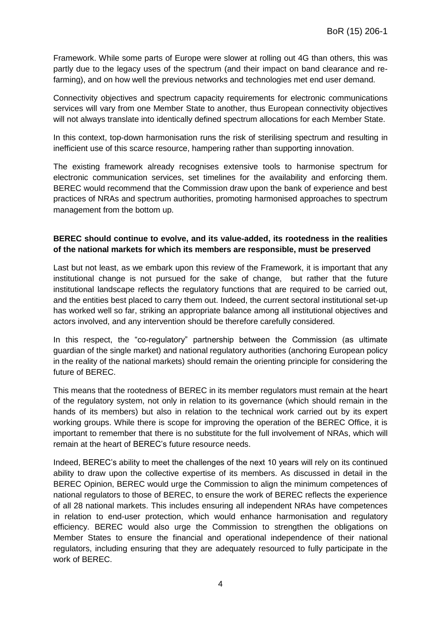Framework. While some parts of Europe were slower at rolling out 4G than others, this was partly due to the legacy uses of the spectrum (and their impact on band clearance and refarming), and on how well the previous networks and technologies met end user demand.

Connectivity objectives and spectrum capacity requirements for electronic communications services will vary from one Member State to another, thus European connectivity objectives will not always translate into identically defined spectrum allocations for each Member State.

In this context, top-down harmonisation runs the risk of sterilising spectrum and resulting in inefficient use of this scarce resource, hampering rather than supporting innovation.

The existing framework already recognises extensive tools to harmonise spectrum for electronic communication services, set timelines for the availability and enforcing them. BEREC would recommend that the Commission draw upon the bank of experience and best practices of NRAs and spectrum authorities, promoting harmonised approaches to spectrum management from the bottom up.

# **BEREC should continue to evolve, and its value-added, its rootedness in the realities of the national markets for which its members are responsible, must be preserved**

Last but not least, as we embark upon this review of the Framework, it is important that any institutional change is not pursued for the sake of change, but rather that the future institutional landscape reflects the regulatory functions that are required to be carried out, and the entities best placed to carry them out. Indeed, the current sectoral institutional set-up has worked well so far, striking an appropriate balance among all institutional objectives and actors involved, and any intervention should be therefore carefully considered.

In this respect, the "co-regulatory" partnership between the Commission (as ultimate guardian of the single market) and national regulatory authorities (anchoring European policy in the reality of the national markets) should remain the orienting principle for considering the future of BEREC.

This means that the rootedness of BEREC in its member regulators must remain at the heart of the regulatory system, not only in relation to its governance (which should remain in the hands of its members) but also in relation to the technical work carried out by its expert working groups. While there is scope for improving the operation of the BEREC Office, it is important to remember that there is no substitute for the full involvement of NRAs, which will remain at the heart of BEREC's future resource needs.

Indeed, BEREC's ability to meet the challenges of the next 10 years will rely on its continued ability to draw upon the collective expertise of its members. As discussed in detail in the BEREC Opinion, BEREC would urge the Commission to align the minimum competences of national regulators to those of BEREC, to ensure the work of BEREC reflects the experience of all 28 national markets. This includes ensuring all independent NRAs have competences in relation to end-user protection, which would enhance harmonisation and regulatory efficiency. BEREC would also urge the Commission to strengthen the obligations on Member States to ensure the financial and operational independence of their national regulators, including ensuring that they are adequately resourced to fully participate in the work of BEREC.